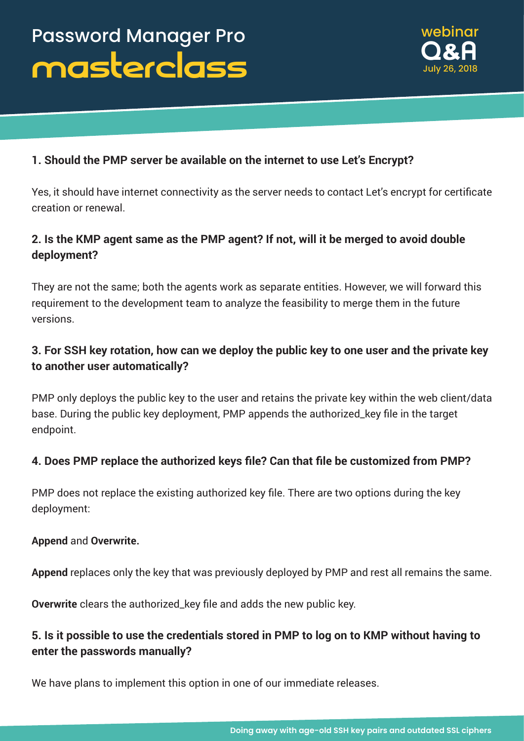

### **1. Should the PMP server be available on the internet to use Let's Encrypt?**

Yes, it should have internet connectivity as the server needs to contact Let's encrypt for certificate creation or renewal.

# **2. Is the KMP agent same as the PMP agent? If not, will it be merged to avoid double deployment?**

They are not the same; both the agents work as separate entities. However, we will forward this requirement to the development team to analyze the feasibility to merge them in the future versions.

# **3. For SSH key rotation, how can we deploy the public key to one user and the private key to another user automatically?**

PMP only deploys the public key to the user and retains the private key within the web client/data base. During the public key deployment, PMP appends the authorized\_key file in the target endpoint.

### **4. Does PMP replace the authorized keys file? Can that file be customized from PMP?**

PMP does not replace the existing authorized key file. There are two options during the key deployment:

#### **Append** and **Overwrite.**

**Append** replaces only the key that was previously deployed by PMP and rest all remains the same.

**Overwrite** clears the authorized\_key file and adds the new public key.

### **5. Is it possible to use the credentials stored in PMP to log on to KMP without having to enter the passwords manually?**

We have plans to implement this option in one of our immediate releases.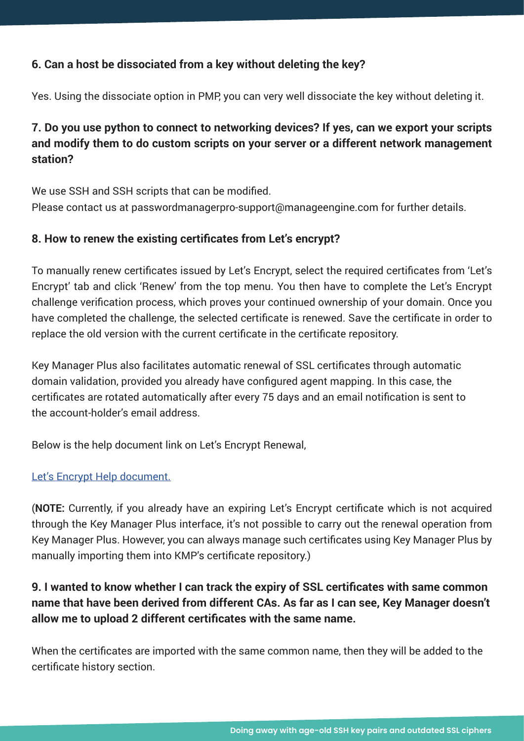### **6. Can a host be dissociated from a key without deleting the key?**

Yes. Using the dissociate option in PMP, you can very well dissociate the key without deleting it.

# **7. Do you use python to connect to networking devices? If yes, can we export your scripts and modify them to do custom scripts on your server or a different network management station?**

We use SSH and SSH scripts that can be modified. Please contact us at passwordmanagerpro-support@manageengine.com for further details.

### **8. How to renew the existing certificates from Let's encrypt?**

To manually renew certificates issued by Let's Encrypt, select the required certificates from 'Let's Encrypt' tab and click 'Renew' from the top menu. You then have to complete the Let's Encrypt challenge verification process, which proves your continued ownership of your domain. Once you have completed the challenge, the selected certificate is renewed. Save the certificate in order to replace the old version with the current certificate in the certificate repository.

Key Manager Plus also facilitates automatic renewal of SSL certificates through automatic domain validation, provided you already have configured agent mapping. In this case, the certificates are rotated automatically after every 75 days and an email notification is sent to the account-holder's email address.

Below is the help document link on Let's Encrypt Renewal,

### Let's Encrypt Help [document.](https://www.manageengine.com/key-manager/help/lets-encrypt-integration.html)

(**NOTE:** Currently, if you already have an expiring Let's Encrypt certificate which is not acquired through the Key Manager Plus interface, it's not possible to carry out the renewal operation from Key Manager Plus. However, you can always manage such certificates using Key Manager Plus by manually importing them into KMP's certificate repository.)

# **9. I wanted to know whether I can track the expiry of SSL certificates with same common name that have been derived from different CAs. As far as I can see, Key Manager doesn't allow me to upload 2 different certificates with the same name.**

When the certificates are imported with the same common name, then they will be added to the certificate history section.